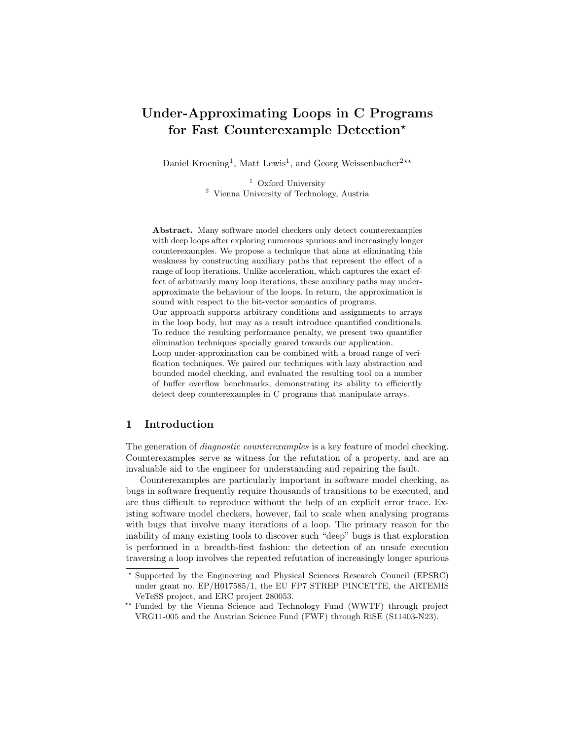# Under-Approximating Loops in C Programs for Fast Counterexample Detection<sup>\*</sup>

Daniel Kroening<sup>1</sup>, Matt Lewis<sup>1</sup>, and Georg Weissenbacher<sup>2\*\*</sup>

 $^{\rm 1}$  Oxford University <sup>2</sup> Vienna University of Technology, Austria

Abstract. Many software model checkers only detect counterexamples with deep loops after exploring numerous spurious and increasingly longer counterexamples. We propose a technique that aims at eliminating this weakness by constructing auxiliary paths that represent the effect of a range of loop iterations. Unlike acceleration, which captures the exact effect of arbitrarily many loop iterations, these auxiliary paths may underapproximate the behaviour of the loops. In return, the approximation is sound with respect to the bit-vector semantics of programs.

Our approach supports arbitrary conditions and assignments to arrays in the loop body, but may as a result introduce quantified conditionals. To reduce the resulting performance penalty, we present two quantifier elimination techniques specially geared towards our application.

Loop under-approximation can be combined with a broad range of verification techniques. We paired our techniques with lazy abstraction and bounded model checking, and evaluated the resulting tool on a number of buffer overflow benchmarks, demonstrating its ability to efficiently detect deep counterexamples in C programs that manipulate arrays.

# 1 Introduction

The generation of *diagnostic counterexamples* is a key feature of model checking. Counterexamples serve as witness for the refutation of a property, and are an invaluable aid to the engineer for understanding and repairing the fault.

Counterexamples are particularly important in software model checking, as bugs in software frequently require thousands of transitions to be executed, and are thus difficult to reproduce without the help of an explicit error trace. Existing software model checkers, however, fail to scale when analysing programs with bugs that involve many iterations of a loop. The primary reason for the inability of many existing tools to discover such "deep" bugs is that exploration is performed in a breadth-first fashion: the detection of an unsafe execution traversing a loop involves the repeated refutation of increasingly longer spurious

<sup>?</sup> Supported by the Engineering and Physical Sciences Research Council (EPSRC) under grant no. EP/H017585/1, the EU FP7 STREP PINCETTE, the ARTEMIS VeTeSS project, and ERC project 280053.

<sup>\*\*</sup> Funded by the Vienna Science and Technology Fund (WWTF) through project VRG11-005 and the Austrian Science Fund (FWF) through RiSE (S11403-N23).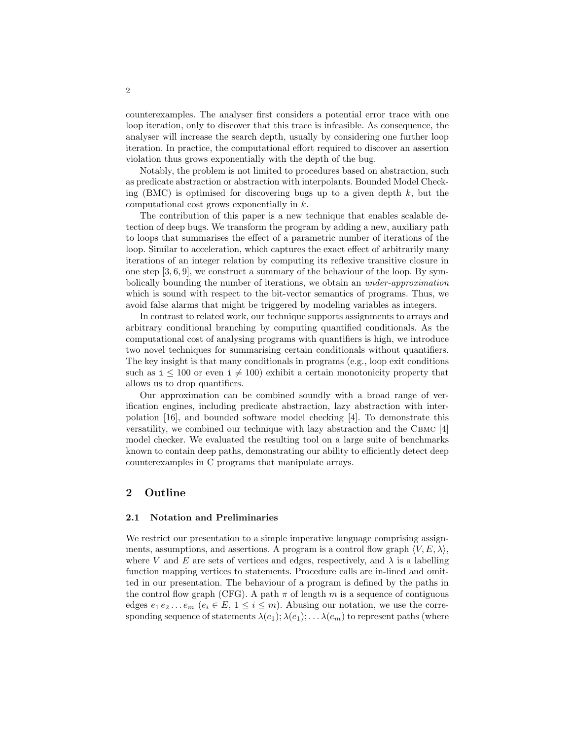counterexamples. The analyser first considers a potential error trace with one loop iteration, only to discover that this trace is infeasible. As consequence, the analyser will increase the search depth, usually by considering one further loop iteration. In practice, the computational effort required to discover an assertion violation thus grows exponentially with the depth of the bug.

Notably, the problem is not limited to procedures based on abstraction, such as predicate abstraction or abstraction with interpolants. Bounded Model Checking (BMC) is optimised for discovering bugs up to a given depth  $k$ , but the computational cost grows exponentially in k.

The contribution of this paper is a new technique that enables scalable detection of deep bugs. We transform the program by adding a new, auxiliary path to loops that summarises the effect of a parametric number of iterations of the loop. Similar to acceleration, which captures the exact effect of arbitrarily many iterations of an integer relation by computing its reflexive transitive closure in one step [3, 6, 9], we construct a summary of the behaviour of the loop. By symbolically bounding the number of iterations, we obtain an under-approximation which is sound with respect to the bit-vector semantics of programs. Thus, we avoid false alarms that might be triggered by modeling variables as integers.

In contrast to related work, our technique supports assignments to arrays and arbitrary conditional branching by computing quantified conditionals. As the computational cost of analysing programs with quantifiers is high, we introduce two novel techniques for summarising certain conditionals without quantifiers. The key insight is that many conditionals in programs (e.g., loop exit conditions such as  $i \leq 100$  or even  $i \neq 100$ ) exhibit a certain monotonicity property that allows us to drop quantifiers.

Our approximation can be combined soundly with a broad range of verification engines, including predicate abstraction, lazy abstraction with interpolation [16], and bounded software model checking [4]. To demonstrate this versatility, we combined our technique with lazy abstraction and the CBMC  $[4]$ model checker. We evaluated the resulting tool on a large suite of benchmarks known to contain deep paths, demonstrating our ability to efficiently detect deep counterexamples in C programs that manipulate arrays.

### 2 Outline

### 2.1 Notation and Preliminaries

We restrict our presentation to a simple imperative language comprising assignments, assumptions, and assertions. A program is a control flow graph  $\langle V, E, \lambda \rangle$ , where V and E are sets of vertices and edges, respectively, and  $\lambda$  is a labelling function mapping vertices to statements. Procedure calls are in-lined and omitted in our presentation. The behaviour of a program is defined by the paths in the control flow graph (CFG). A path  $\pi$  of length m is a sequence of contiguous edges  $e_1 e_2 \ldots e_m$   $(e_i \in E, 1 \le i \le m)$ . Abusing our notation, we use the corresponding sequence of statements  $\lambda(e_1); \lambda(e_1); \ldots \lambda(e_m)$  to represent paths (where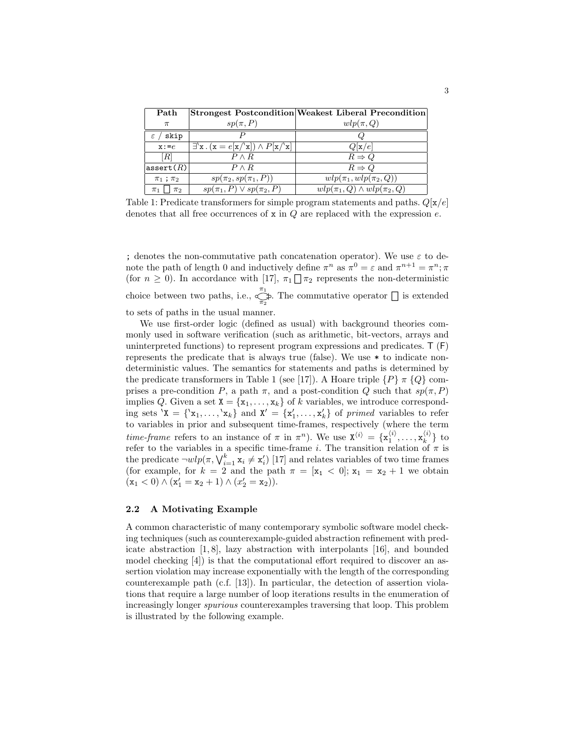| Path                |                                                | <b>Strongest Postcondition Weakest Liberal Precondition</b> |
|---------------------|------------------------------------------------|-------------------------------------------------------------|
| $\pi$               | $sp(\pi, P)$                                   | $wlp(\pi, Q)$                                               |
| skip                |                                                |                                                             |
| $x:=e$              | $\exists x \cdot (x = e[x)'x]) \wedge P[x]'x]$ | Q[x/e]                                                      |
| [R]                 | $P \wedge R$                                   | $R \Rightarrow Q$                                           |
| $ {\tt assert}(R) $ | $P \wedge R$                                   | $R \Rightarrow Q$                                           |
| $\pi_1$ ; $\pi_2$   | $sp(\pi_2, sp(\pi_1, P))$                      | $wlp(\pi_1, wlp(\pi_2, Q))$                                 |
| $\pi_1$<br>$\pi_2$  | $sp(\pi_1, P) \vee sp(\pi_2, P)$               | $wlp(\pi_1, Q) \wedge wlp(\pi_2, Q)$                        |

Table 1: Predicate transformers for simple program statements and paths.  $Q[x/e]$ denotes that all free occurrences of  $x$  in  $Q$  are replaced with the expression  $e$ .

; denotes the non-commutative path concatenation operator). We use  $\varepsilon$  to denote the path of length 0 and inductively define  $\pi^n$  as  $\pi^0 = \varepsilon$  and  $\pi^{n+1} = \pi^n; \pi$ (for  $n \geq 0$ ). In accordance with [17],  $\pi_1 \Box \pi_2$  represents the non-deterministic choice between two paths, i.e.,  $\overline{\mathbb{C}}$  $\hat{\mathbb{R}}_2$ . The commutative operator  $\Box$  is extended to sets of paths in the usual manner.

We use first-order logic (defined as usual) with background theories commonly used in software verification (such as arithmetic, bit-vectors, arrays and uninterpreted functions) to represent program expressions and predicates. T (F) represents the predicate that is always true (false). We use \* to indicate nondeterministic values. The semantics for statements and paths is determined by the predicate transformers in Table 1 (see [17]). A Hoare triple  $\{P\} \pi \{Q\}$  comprises a pre-condition P, a path  $\pi$ , and a post-condition Q such that  $sp(\pi, P)$ implies Q. Given a set  $X = \{x_1, \ldots, x_k\}$  of k variables, we introduce corresponding sets  $X = \{x_1, \ldots, x_k\}$  and  $X' = \{x'_1, \ldots, x'_k\}$  of primed variables to refer to variables in prior and subsequent time-frames, respectively (where the term time-frame refers to an instance of  $\pi$  in  $\pi^n$ ). We use  $\mathbf{X}^{\langle i \rangle} = {\mathbf{x}_1^{\langle i \rangle}, \dots, \mathbf{x}_k^{\langle i \rangle}}$  to the frame ferm to the variables in a specific time-frame i. The transition relation of  $\pi$  is the predicate  $\neg wlp(\pi, \bigvee_{i=1}^k x_i \neq x'_i)$  [17] and relates variables of two time frames (for example, for  $k = 2$  and the path  $\pi = [\mathbf{x}_1 \, < \, 0]$ ;  $\mathbf{x}_1 = \mathbf{x}_2 + 1$  we obtain  $(x_1 < 0) \wedge (x_1' = x_2 + 1) \wedge (x_2' = x_2)).$ 

### 2.2 A Motivating Example

A common characteristic of many contemporary symbolic software model checking techniques (such as counterexample-guided abstraction refinement with predicate abstraction [1, 8], lazy abstraction with interpolants [16], and bounded model checking [4]) is that the computational effort required to discover an assertion violation may increase exponentially with the length of the corresponding counterexample path (c.f. [13]). In particular, the detection of assertion violations that require a large number of loop iterations results in the enumeration of increasingly longer spurious counterexamples traversing that loop. This problem is illustrated by the following example.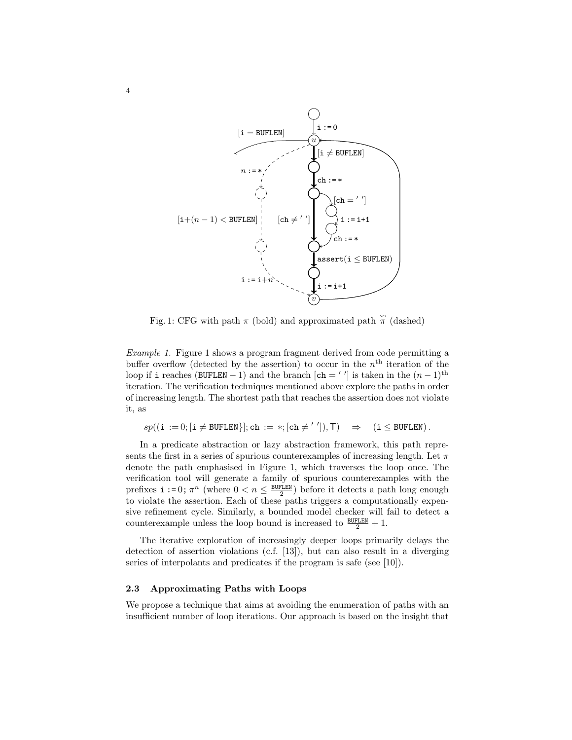

Fig. 1: CFG with path  $\pi$  (bold) and approximated path  $\widetilde{\pi}$  (dashed)

Example 1. Figure 1 shows a program fragment derived from code permitting a buffer overflow (detected by the assertion) to occur in the  $n<sup>th</sup>$  iteration of the loop if i reaches (BUFLEN – 1) and the branch  $\lceil ch = \prime \rceil$  is taken in the  $(n - 1)$ <sup>th</sup> iteration. The verification techniques mentioned above explore the paths in order of increasing length. The shortest path that reaches the assertion does not violate it, as

 $sp((i := 0; [i \neq BUFFLEN)]; ch := *, [ch \neq ''], T) \Rightarrow$  $(i \leq$  BUFLEN).

In a predicate abstraction or lazy abstraction framework, this path represents the first in a series of spurious counterexamples of increasing length. Let  $\pi$ denote the path emphasised in Figure 1, which traverses the loop once. The verification tool will generate a family of spurious counterexamples with the prefixes  $\mathbf{i} := 0$ ;  $\pi^n$  (where  $0 < n \leq \frac{\text{BUELEN}}{2}$ ) before it detects a path long enough to violate the assertion. Each of these paths triggers a computationally expensive refinement cycle. Similarly, a bounded model checker will fail to detect a counterexample unless the loop bound is increased to  $\frac{BUFLEN}{2} + 1$ .

The iterative exploration of increasingly deeper loops primarily delays the detection of assertion violations (c.f. [13]), but can also result in a diverging series of interpolants and predicates if the program is safe (see [10]).

### 2.3 Approximating Paths with Loops

We propose a technique that aims at avoiding the enumeration of paths with an insufficient number of loop iterations. Our approach is based on the insight that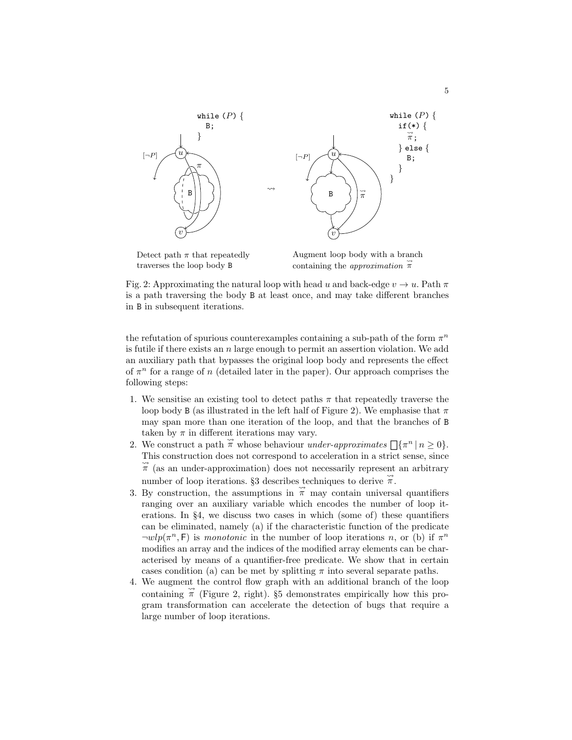

Fig. 2: Approximating the natural loop with head u and back-edge  $v \to u$ . Path  $\pi$ is a path traversing the body B at least once, and may take different branches in B in subsequent iterations.

the refutation of spurious counterexamples containing a sub-path of the form  $\pi^n$ is futile if there exists an  $n$  large enough to permit an assertion violation. We add an auxiliary path that bypasses the original loop body and represents the effect of  $\pi^n$  for a range of n (detailed later in the paper). Our approach comprises the following steps:

- 1. We sensitise an existing tool to detect paths  $\pi$  that repeatedly traverse the loop body B (as illustrated in the left half of Figure 2). We emphasise that  $\pi$ may span more than one iteration of the loop, and that the branches of B taken by  $\pi$  in different iterations may vary.
- 2. We construct a path  $\tilde{\pi}$  whose behaviour *under-approximates*  $\Box {\pi}^n | n \geq 0$ . This construction does not correspond to acceleration in a strict sense, since  $\tilde{\pi}$  (as an under-approximation) does not necessarily represent an arbitrary number of loop iterations. §3 describes techniques to derive  $\tilde{\pi}$ .
- 3. By construction, the assumptions in  $\tilde{\pi}$  may contain universal quantifiers ranging over an auxiliary variable which encodes the number of loop iterations. In §4, we discuss two cases in which (some of) these quantifiers can be eliminated, namely (a) if the characteristic function of the predicate  $\neg wlp(\pi^n, \mathsf{F})$  is monotonic in the number of loop iterations n, or (b) if  $\pi^n$ modifies an array and the indices of the modified array elements can be characterised by means of a quantifier-free predicate. We show that in certain cases condition (a) can be met by splitting  $\pi$  into several separate paths.
- 4. We augment the control flow graph with an additional branch of the loop containing  $\tilde{\pi}$  (Figure 2, right). §5 demonstrates empirically how this program transformation can accelerate the detection of bugs that require a large number of loop iterations.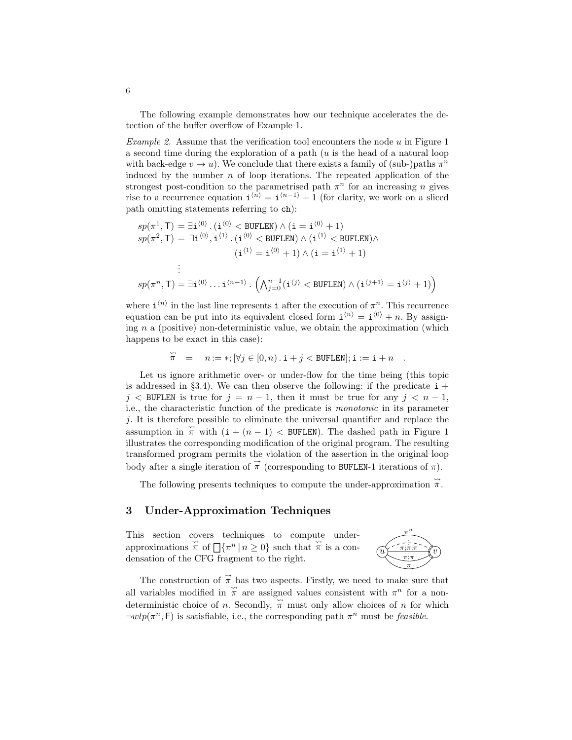The following example demonstrates how our technique accelerates the detection of the buffer overflow of Example 1.

Example 2. Assume that the verification tool encounters the node  $u$  in Figure 1 a second time during the exploration of a path  $(u$  is the head of a natural loop with back-edge  $v \to u$ ). We conclude that there exists a family of (sub-)paths  $\pi^n$ induced by the number  $n$  of loop iterations. The repeated application of the strongest post-condition to the parametrised path  $\pi^n$  for an increasing n gives rise to a recurrence equation  $\mathbf{i}^{(n)} = \mathbf{i}^{(n-1)} + 1$  (for clarity, we work on a sliced path omitting statements referring to ch):

$$
sp(\pi^1, T) = \exists i^{\langle 0 \rangle} \cdot (i^{\langle 0 \rangle} < \text{BUFLEN}) \land (i = i^{\langle 0 \rangle} + 1)
$$
\n
$$
sp(\pi^2, T) = \exists i^{\langle 0 \rangle}, i^{\langle 1 \rangle} \cdot (i^{\langle 0 \rangle} < \text{BUFLEN}) \land (i^{\langle 1 \rangle} < \text{BUFLEN}) \land (i^{\langle 1 \rangle} + 1)
$$
\n
$$
\vdots
$$
\n
$$
sp(\pi^n, T) = \exists i^{\langle 0 \rangle} \dots i^{\langle n-1 \rangle} \cdot \left( \bigwedge_{j=0}^{n-1} (i^{\langle j \rangle} < \text{BUFLEN}) \land (i^{\langle j+1 \rangle} = i^{\langle j \rangle} + 1) \right)
$$

where  $\mathbf{i}^{n}$  in the last line represents i after the execution of  $\pi^{n}$ . This recurrence equation can be put into its equivalent closed form  $\mathbf{i}^{(n)} = \mathbf{i}^{(0)} + n$ . By assigning  $n$  a (positive) non-deterministic value, we obtain the approximation (which happens to be exact in this case):

$$
\widetilde{\pi} = n := *, [\forall j \in [0, n) \cdot i + j < \text{BUFLEN}]; i := i + n \quad .
$$

Let us ignore arithmetic over- or under-flow for the time being (this topic is addressed in §3.4). We can then observe the following: if the predicate  $i +$  $j <$  BUFLEN is true for  $j = n - 1$ , then it must be true for any  $j < n - 1$ , i.e., the characteristic function of the predicate is monotonic in its parameter j. It is therefore possible to eliminate the universal quantifier and replace the assumption in  $\tilde{\pi}$  with  $(i + (n - 1) <$  BUFLEN). The dashed path in Figure 1 illustrates the corresponding modification of the original program. The resulting transformed program permits the violation of the assertion in the original loop body after a single iteration of  $\tilde{\pi}$  (corresponding to BUFLEN-1 iterations of  $\pi$ ).

The following presents techniques to compute the under-approximation  $\dddot{\tilde{\pi}}$ .

## 3 Under-Approximation Techniques

This section covers techniques to compute underapproximations  $\pi$  of  $\pi^n | n \geq 0$  such that  $\pi$  is a condensation of the CFG fragment to the right.



The construction of  $\tilde{\pi}$  has two aspects. Firstly, we need to make sure that all variables modified in  $\pi$  are assigned values consistent with  $\pi^n$  for a nondeterministic choice of *n*. Secondly,  $\tilde{\pi}$  must only allow choices of *n* for which  $\neg wlp(\pi^n, \mathsf{F})$  is satisfiable, i.e., the corresponding path  $\pi^n$  must be *feasible*.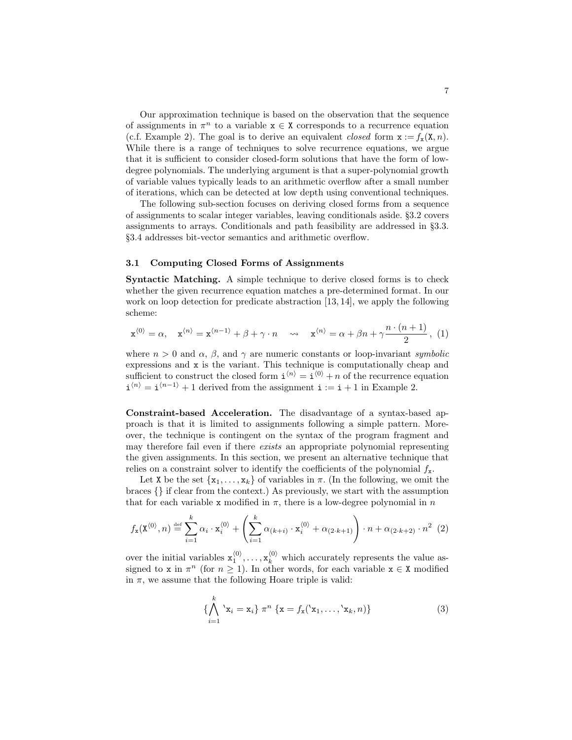Our approximation technique is based on the observation that the sequence of assignments in  $\pi^n$  to a variable  $\mathbf{x} \in \mathbf{X}$  corresponds to a recurrence equation (c.f. Example 2). The goal is to derive an equivalent closed form  $\mathbf{x} := f_{\mathbf{x}}(\mathbf{X}, n)$ . While there is a range of techniques to solve recurrence equations, we argue that it is sufficient to consider closed-form solutions that have the form of lowdegree polynomials. The underlying argument is that a super-polynomial growth of variable values typically leads to an arithmetic overflow after a small number of iterations, which can be detected at low depth using conventional techniques.

The following sub-section focuses on deriving closed forms from a sequence of assignments to scalar integer variables, leaving conditionals aside. §3.2 covers assignments to arrays. Conditionals and path feasibility are addressed in §3.3. §3.4 addresses bit-vector semantics and arithmetic overflow.

#### 3.1 Computing Closed Forms of Assignments

Syntactic Matching. A simple technique to derive closed forms is to check whether the given recurrence equation matches a pre-determined format. In our work on loop detection for predicate abstraction [13, 14], we apply the following scheme:

$$
\mathbf{x}^{\langle 0 \rangle} = \alpha, \quad \mathbf{x}^{\langle n \rangle} = \mathbf{x}^{\langle n-1 \rangle} + \beta + \gamma \cdot n \quad \leadsto \quad \mathbf{x}^{\langle n \rangle} = \alpha + \beta n + \gamma \frac{n \cdot (n+1)}{2}, \tag{1}
$$

where  $n > 0$  and  $\alpha$ ,  $\beta$ , and  $\gamma$  are numeric constants or loop-invariant symbolic expressions and x is the variant. This technique is computationally cheap and sufficient to construct the closed form  $\mathbf{i}^{(n)} = \mathbf{i}^{(0)} + n$  of the recurrence equation  $\mathbf{i}^{(n)} = \mathbf{i}^{(n-1)} + 1$  derived from the assignment  $\mathbf{i} := \mathbf{i} + 1$  in Example 2.

Constraint-based Acceleration. The disadvantage of a syntax-based approach is that it is limited to assignments following a simple pattern. Moreover, the technique is contingent on the syntax of the program fragment and may therefore fail even if there *exists* an appropriate polynomial representing the given assignments. In this section, we present an alternative technique that relies on a constraint solver to identify the coefficients of the polynomial  $f_{\mathbf{x}}$ .

Let X be the set  $\{x_1, \ldots, x_k\}$  of variables in  $\pi$ . (In the following, we omit the braces {} if clear from the context.) As previously, we start with the assumption that for each variable x modified in  $\pi$ , there is a low-degree polynomial in n

$$
f_{\mathbf{x}}(\mathbf{X}^{(0)}, n) \stackrel{\text{def}}{=} \sum_{i=1}^{k} \alpha_i \cdot \mathbf{x}_i^{(0)} + \left( \sum_{i=1}^{k} \alpha_{(k+i)} \cdot \mathbf{x}_i^{(0)} + \alpha_{(2 \cdot k+1)} \right) \cdot n + \alpha_{(2 \cdot k+2)} \cdot n^2 \tag{2}
$$

over the initial variables  $x_1^{(0)}, \ldots, x_k^{(0)}$  which accurately represents the value assigned to x in  $\pi^n$  (for  $n \geq 1$ ). In other words, for each variable  $x \in X$  modified in  $\pi$ , we assume that the following Hoare triple is valid:

$$
\{\bigwedge_{i=1}^k \mathbf{x}_i = \mathbf{x}_i\} \pi^n \{ \mathbf{x} = f_{\mathbf{x}}(\mathbf{x}_1, \dots, \mathbf{x}_k, n) \}
$$
(3)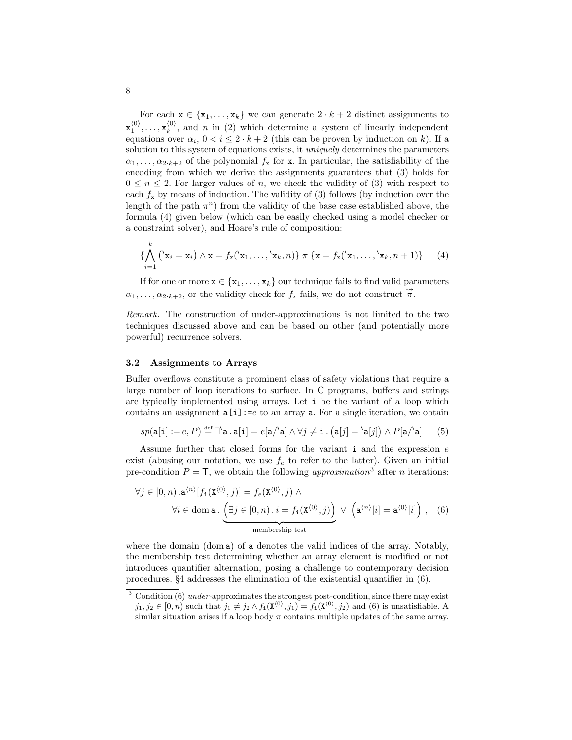For each  $x \in \{x_1, \ldots, x_k\}$  we can generate  $2 \cdot k + 2$  distinct assignments to  $\mathtt{x}_1^{\langle 0 \rangle}, \ldots, \mathtt{x}_k^{\langle 0 \rangle}$  $\kappa_k^{(0)}$ , and *n* in (2) which determine a system of linearly independent equations over  $\alpha_i$ ,  $0 < i \leq 2 \cdot k + 2$  (this can be proven by induction on k). If a solution to this system of equations exists, it uniquely determines the parameters  $\alpha_1, \ldots, \alpha_{2\cdot k+2}$  of the polynomial  $f_{\mathbf{x}}$  for x. In particular, the satisfiability of the encoding from which we derive the assignments guarantees that (3) holds for  $0 \leq n \leq 2$ . For larger values of n, we check the validity of (3) with respect to each  $f_{\mathbf{x}}$  by means of induction. The validity of (3) follows (by induction over the length of the path  $\pi^n$ ) from the validity of the base case established above, the formula (4) given below (which can be easily checked using a model checker or a constraint solver), and Hoare's rule of composition:

$$
\{\bigwedge_{i=1}^k (\mathbf{x}_i = \mathbf{x}_i) \wedge \mathbf{x} = f_{\mathbf{x}}(\mathbf{x}_1, \dots, \mathbf{x}_k, n) \} \pi \{ \mathbf{x} = f_{\mathbf{x}}(\mathbf{x}_1, \dots, \mathbf{x}_k, n+1) \} \qquad (4)
$$

If for one or more  $x \in \{x_1, \ldots, x_k\}$  our technique fails to find valid parameters  $\alpha_1, \ldots, \alpha_{2\cdot k+2}$ , or the validity check for  $f_x$  fails, we do not construct  $\tilde{\pi}$ .

Remark. The construction of under-approximations is not limited to the two techniques discussed above and can be based on other (and potentially more powerful) recurrence solvers.

#### 3.2 Assignments to Arrays

Buffer overflows constitute a prominent class of safety violations that require a large number of loop iterations to surface. In C programs, buffers and strings are typically implemented using arrays. Let i be the variant of a loop which contains an assignment  $a[i]:=e$  to an array a. For a single iteration, we obtain

$$
sp(\mathbf{a}[i]:=e,P) \stackrel{\text{def}}{=} \exists \mathbf{a} \cdot \mathbf{a}[i]=e[\mathbf{a}/\mathbf{a}] \land \forall j \neq i \cdot (\mathbf{a}[j]=\mathbf{a}[j]) \land P[\mathbf{a}/\mathbf{a}] \tag{5}
$$

Assume further that closed forms for the variant  $\mathbf{i}$  and the expression  $e$ exist (abusing our notation, we use  $f_e$  to refer to the latter). Given an initial pre-condition  $P = T$ , we obtain the following *approximation*<sup>3</sup> after *n* iterations:

$$
\forall j \in [0, n) \cdot \mathbf{a}^{\langle n \rangle}[f_{i}(\mathbf{X}^{\langle 0 \rangle}, j)] = f_{e}(\mathbf{X}^{\langle 0 \rangle}, j) \wedge
$$

$$
\forall i \in \text{dom}\,\mathbf{a} \cdot \underbrace{\left(\exists j \in [0, n) \cdot i = f_{i}(\mathbf{X}^{\langle 0 \rangle}, j)\right)}_{\text{membership test}} \vee \left(\mathbf{a}^{\langle n \rangle}[i] = \mathbf{a}^{\langle 0 \rangle}[i]\right), \quad (6)
$$

where the domain (dom a) of a denotes the valid indices of the array. Notably, the membership test determining whether an array element is modified or not introduces quantifier alternation, posing a challenge to contemporary decision procedures. §4 addresses the elimination of the existential quantifier in (6).

 $3$  Condition (6) under-approximates the strongest post-condition, since there may exist  $j_1, j_2 \in [0, n)$  such that  $j_1 \neq j_2 \wedge f_1(\mathbf{X}^{(0)}, j_1) = f_1(\mathbf{X}^{(0)}, j_2)$  and (6) is unsatisfiable. A similar situation arises if a loop body  $\pi$  contains multiple updates of the same array.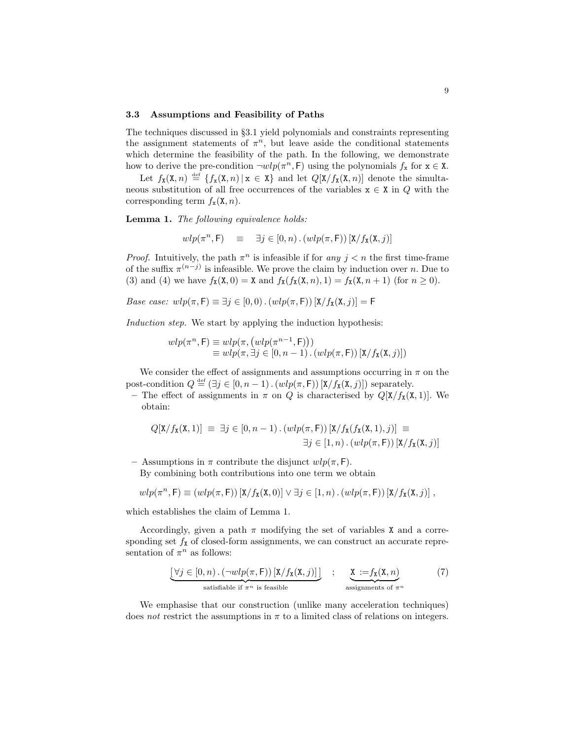#### 3.3 Assumptions and Feasibility of Paths

The techniques discussed in §3.1 yield polynomials and constraints representing the assignment statements of  $\pi^n$ , but leave aside the conditional statements which determine the feasibility of the path. In the following, we demonstrate how to derive the pre-condition  $\neg wlp(\pi^n, \mathsf{F})$  using the polynomials  $f_x$  for  $x \in \mathsf{X}$ .

Let  $f_{\mathbf{X}}(\mathbf{X},n) \stackrel{\text{def}}{=} \{f_{\mathbf{X}}(\mathbf{X},n) | \mathbf{x} \in \mathbf{X}\}\$ and let  $Q[\mathbf{X}/f_{\mathbf{X}}(\mathbf{X},n)]$  denote the simultaneous substitution of all free occurrences of the variables  $x \in X$  in  $Q$  with the corresponding term  $f_{\mathbf{x}}(\mathbf{X}, n)$ .

Lemma 1. The following equivalence holds:

$$
wlp(\pi^n, \mathsf{F}) \equiv \exists j \in [0, n) \, . \, (wlp(\pi, \mathsf{F})) \, [\mathbf{X}/f_{\mathbf{X}}(\mathbf{X}, j)]
$$

*Proof.* Intuitively, the path  $\pi^n$  is infeasible if for any  $j < n$  the first time-frame of the suffix  $\pi^{(n-j)}$  is infeasible. We prove the claim by induction over n. Due to (3) and (4) we have  $f_{\mathbf{X}}(\mathbf{X}, 0) = \mathbf{X}$  and  $f_{\mathbf{X}}(f_{\mathbf{X}}(\mathbf{X}, n), 1) = f_{\mathbf{X}}(\mathbf{X}, n + 1)$  (for  $n \ge 0$ ).

Base case:  $wlp(\pi, \mathsf{F}) \equiv \exists j \in [0, 0) \cdot (wlp(\pi, \mathsf{F})) [\mathsf{X}/f_{\mathsf{X}}(\mathsf{X}, j)] = \mathsf{F}$ 

Induction step. We start by applying the induction hypothesis:

$$
wlp(\pi^n, \mathsf{F}) \equiv wlp(\pi, \left(wlp(\pi^{n-1}, \mathsf{F})\right))
$$
  

$$
\equiv wlp(\pi, \exists j \in [0, n-1) \cdot \left(wlp(\pi, \mathsf{F})\right) [\mathbf{X}/f_{\mathbf{X}}(\mathbf{X}, j)])
$$

We consider the effect of assignments and assumptions occurring in  $\pi$  on the post-condition  $Q \stackrel{\text{def}}{=} (\exists j \in [0, n-1) \cdot (wlp(\pi, \mathsf{F})) [\mathbf{X}/f_{\mathbf{X}}(\mathbf{X}, j)])$  separately.

– The effect of assignments in  $\pi$  on Q is characterised by  $Q[X/f_X(X, 1)]$ . We obtain:

$$
Q[\mathbf{X}/f_{\mathbf{X}}(\mathbf{X},1)] \equiv \exists j \in [0,n-1) \cdot (wlp(\pi,\mathsf{F})) [\mathbf{X}/f_{\mathbf{X}}(f_{\mathbf{X}}(\mathbf{X},1),j)] \equiv
$$
  

$$
\exists j \in [1,n) \cdot (wlp(\pi,\mathsf{F})) [\mathbf{X}/f_{\mathbf{X}}(\mathbf{X},j)]
$$

– Assumptions in  $\pi$  contribute the disjunct  $wlp(\pi, \mathsf{F})$ .

By combining both contributions into one term we obtain

$$
wlp(\pi^n, \mathsf{F}) \equiv (wlp(\pi, \mathsf{F})) \left[ \mathbf{X}/f_{\mathbf{X}}(\mathbf{X}, 0) \right] \vee \exists j \in [1, n) \, . \, (wlp(\pi, \mathsf{F})) \left[ \mathbf{X}/f_{\mathbf{X}}(\mathbf{X}, j) \right],
$$

which establishes the claim of Lemma 1.

Accordingly, given a path  $\pi$  modifying the set of variables **X** and a corresponding set  $f_{\mathbf{X}}$  of closed-form assignments, we can construct an accurate representation of  $\pi^n$  as follows:

$$
\underbrace{[\forall j \in [0, n) \cdot (\neg wlp(\pi, \mathsf{F})) [\mathbf{X}/f_{\mathbf{X}}(\mathbf{X}, j)]]}_{\text{satisfiable if } \pi^n \text{ is feasible}} \quad ; \quad \underbrace{\mathbf{X} := f_{\mathbf{X}}(\mathbf{X}, n)}_{\text{assignments of } \pi^n} \tag{7}
$$

We emphasise that our construction (unlike many acceleration techniques) does not restrict the assumptions in  $\pi$  to a limited class of relations on integers.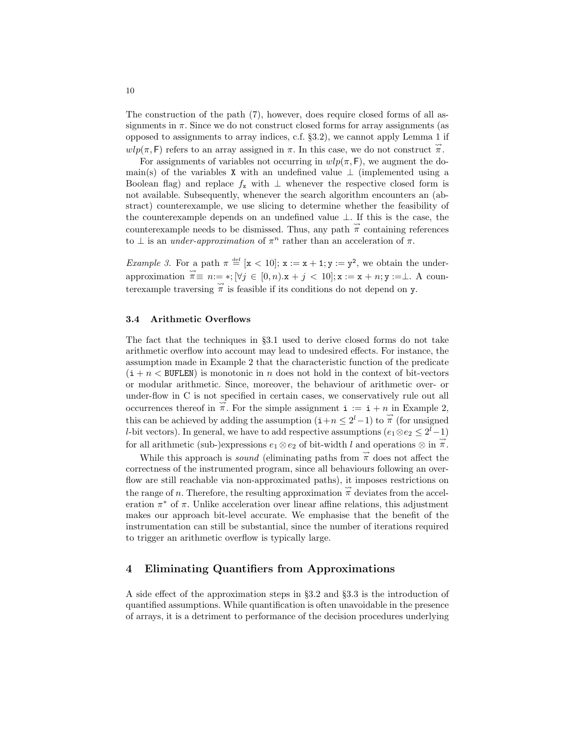The construction of the path (7), however, does require closed forms of all assignments in  $\pi$ . Since we do not construct closed forms for array assignments (as opposed to assignments to array indices, c.f. §3.2), we cannot apply Lemma 1 if  $wlp(\pi, \mathsf{F})$  refers to an array assigned in  $\pi$ . In this case, we do not construct  $\tilde{\pi}$ .

For assignments of variables not occurring in  $wlp(\pi, \mathsf{F})$ , we augment the domain(s) of the variables X with an undefined value  $\perp$  (implemented using a Boolean flag) and replace  $f_x$  with  $\perp$  whenever the respective closed form is not available. Subsequently, whenever the search algorithm encounters an (abstract) counterexample, we use slicing to determine whether the feasibility of the counterexample depends on an undefined value ⊥. If this is the case, the counterexample needs to be dismissed. Thus, any path  $\tilde{\pi}$  containing references to  $\perp$  is an *under-approximation* of  $\pi^n$  rather than an acceleration of  $\pi$ .

*Example 3.* For a path  $\pi \stackrel{\text{def}}{=} [x < 10]$ ;  $x := x + 1$ ;  $y := y^2$ , we obtain the underapproximation  $\widetilde{\pi} \equiv n = *, [\forall j \in [0, n).x + j < 10]; x := x + n; y := \perp$ . A counterexample traversing  $\tilde{\pi}$  is feasible if its conditions do not depend on y.

# 3.4 Arithmetic Overflows

The fact that the techniques in §3.1 used to derive closed forms do not take arithmetic overflow into account may lead to undesired effects. For instance, the assumption made in Example 2 that the characteristic function of the predicate  $(i + n < BUFFLEN)$  is monotonic in *n* does not hold in the context of bit-vectors or modular arithmetic. Since, moreover, the behaviour of arithmetic over- or under-flow in C is not specified in certain cases, we conservatively rule out all occurrences thereof in  $\tilde{\pi}$ . For the simple assignment  $\mathbf{i} := \mathbf{i} + n$  in Example 2, this can be achieved by adding the assumption  $(i+n \leq 2^l-1)$  to  $\vec{\pi}$  (for unsigned l-bit vectors). In general, we have to add respective assumptions  $(e_1 \otimes e_2 \leq 2^l-1)$ for all arithmetic (sub-)expressions  $e_1 \otimes e_2$  of bit-width l and operations  $\otimes$  in  $\pi$ .

While this approach is *sound* (eliminating paths from  $\dddot{\tilde{\pi}}$  does not affect the correctness of the instrumented program, since all behaviours following an overflow are still reachable via non-approximated paths), it imposes restrictions on the range of n. Therefore, the resulting approximation  $\tilde{\pi}$  deviates from the acceleration  $\pi^*$  of  $\pi$ . Unlike acceleration over linear affine relations, this adjustment makes our approach bit-level accurate. We emphasise that the benefit of the instrumentation can still be substantial, since the number of iterations required to trigger an arithmetic overflow is typically large.

### 4 Eliminating Quantifiers from Approximations

A side effect of the approximation steps in §3.2 and §3.3 is the introduction of quantified assumptions. While quantification is often unavoidable in the presence of arrays, it is a detriment to performance of the decision procedures underlying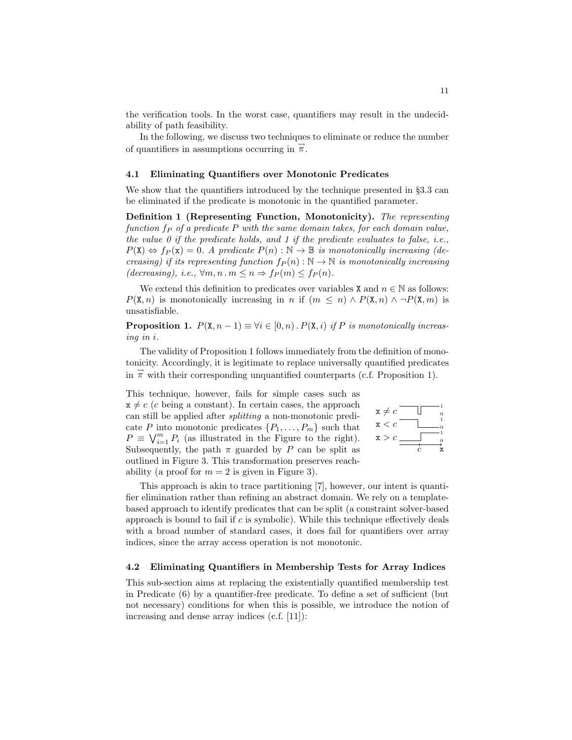the verification tools. In the worst case, quantifiers may result in the undecidability of path feasibility.

In the following, we discuss two techniques to eliminate or reduce the number of quantifiers in assumptions occurring in  $\pi$ .

### 4.1 Eliminating Quantifiers over Monotonic Predicates

We show that the quantifiers introduced by the technique presented in §3.3 can be eliminated if the predicate is monotonic in the quantified parameter.

Definition 1 (Representing Function, Monotonicity). The representing function  $f_P$  of a predicate P with the same domain takes, for each domain value, the value 0 if the predicate holds, and 1 if the predicate evaluates to false, i.e.,  $P(X) \Leftrightarrow f_P(x) = 0$ . A predicate  $P(n): \mathbb{N} \to \mathbb{B}$  is monotonically increasing (decreasing) if its representing function  $f_P(n): \mathbb{N} \to \mathbb{N}$  is monotonically increasing (decreasing), i.e.,  $\forall m, n \ldots m \leq n \Rightarrow f_P(m) \leq f_P(n)$ .

We extend this definition to predicates over variables X and  $n \in \mathbb{N}$  as follows:  $P(X, n)$  is monotonically increasing in n if  $(m \leq n) \wedge P(X, n) \wedge \neg P(X, m)$  is unsatisfiable.

**Proposition 1.**  $P(\mathbf{X}, n-1) \equiv \forall i \in [0, n)$ .  $P(\mathbf{X}, i)$  if P is monotonically increasing in i.

The validity of Proposition 1 follows immediately from the definition of monotonicity. Accordingly, it is legitimate to replace universally quantified predicates in  $\tilde{\pi}$  with their corresponding unquantified counterparts (c.f. Proposition 1).

This technique, however, fails for simple cases such as  $x \neq c$  (c being a constant). In certain cases, the approach can still be applied after splitting a non-monotonic predicate P into monotonic predicates  $\{P_1, \ldots, P_m\}$  such that  $P \equiv \bigvee_{i=1}^{m} P_i$  (as illustrated in the Figure to the right). Subsequently, the path  $\pi$  guarded by P can be split as outlined in Figure 3. This transformation preserves reachability (a proof for  $m = 2$  is given in Figure 3).



This approach is akin to trace partitioning [7], however, our intent is quantifier elimination rather than refining an abstract domain. We rely on a templatebased approach to identify predicates that can be split (a constraint solver-based approach is bound to fail if  $c$  is symbolic). While this technique effectively deals with a broad number of standard cases, it does fail for quantifiers over array indices, since the array access operation is not monotonic.

### 4.2 Eliminating Quantifiers in Membership Tests for Array Indices

This sub-section aims at replacing the existentially quantified membership test in Predicate (6) by a quantifier-free predicate. To define a set of sufficient (but not necessary) conditions for when this is possible, we introduce the notion of increasing and dense array indices (c.f. [11]):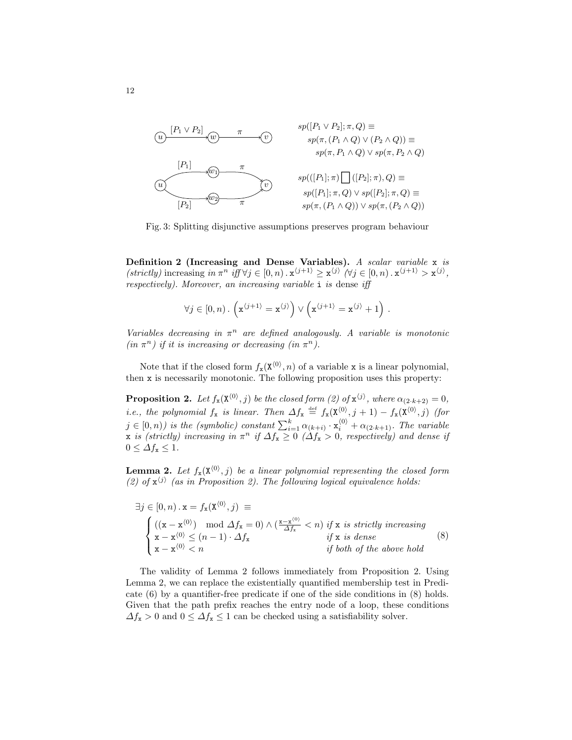

Fig. 3: Splitting disjunctive assumptions preserves program behaviour

Definition 2 (Increasing and Dense Variables). A scalar variable x is  $(\text{strictly})$  increasing  $\text{in } \pi^n$  iff  $\forall j \in [0, n) \cdot \mathbf{x}^{\langle j+1 \rangle} \geq \mathbf{x}^{\langle j \rangle}$   $\langle \forall j \in [0, n) \cdot \mathbf{x}^{\langle j+1 \rangle} > \mathbf{x}^{\langle j \rangle}$ , respectively). Moreover, an increasing variable i is dense iff

$$
\forall j \in [0, n). \left( \mathbf{x}^{\langle j+1 \rangle} = \mathbf{x}^{\langle j \rangle} \right) \vee \left( \mathbf{x}^{\langle j+1 \rangle} = \mathbf{x}^{\langle j \rangle} + 1 \right).
$$

Variables decreasing in  $\pi^n$  are defined analogously. A variable is monotonic (in  $\pi^n$ ) if it is increasing or decreasing (in  $\pi^n$ ).

Note that if the closed form  $f_{\mathbf{x}}(\mathbf{X}^{(0)}, n)$  of a variable x is a linear polynomial, then x is necessarily monotonic. The following proposition uses this property:

**Proposition 2.** Let  $f_{\mathbf{x}}(\mathbf{X}^{(0)}, j)$  be the closed form (2) of  $\mathbf{x}^{(j)}$ , where  $\alpha_{(2 \cdot k+2)} = 0$ , *i.e.*, the polynomial  $f_x$  is linear. Then  $\Delta f_x \stackrel{\text{def}}{=} f_x(\mathbf{X}^{\{0\}}, j + 1) - f_x(\mathbf{X}^{\{0\}}, j)$  (for  $j \in [0,n)$ ) is the (symbolic) constant  $\sum_{i=1}^{k} \alpha_{(k+i)} \cdot \mathbf{x}_{i}^{(0)} + \alpha_{(2\cdot k+1)}$ . The variable x is (strictly) increasing in  $\pi^n$  if  $\Delta f_{\mathbf{x}} \geq 0$  ( $\Delta f_{\mathbf{x}} > 0$ , respectively) and dense if  $0 \leq \Delta f_{\mathbf{x}} \leq 1.$ 

**Lemma 2.** Let  $f_x(X^{(0)}, j)$  be a linear polynomial representing the closed form (2) of  $x^{\langle j \rangle}$  (as in Proposition 2). The following logical equivalence holds:

$$
\exists j \in [0, n) \cdot \mathbf{x} = f_{\mathbf{x}}(\mathbf{X}^{(0)}, j) \equiv
$$
\n
$$
\begin{cases}\n((\mathbf{x} - \mathbf{x}^{(0)}) \mod \Delta f_{\mathbf{x}} = 0) \land (\frac{\mathbf{x} - \mathbf{x}^{(0)}}{\Delta f_{\mathbf{x}}} < n) \text{ if } \mathbf{x} \text{ is strictly increasing} \\
\mathbf{x} - \mathbf{x}^{(0)} \le (n - 1) \cdot \Delta f_{\mathbf{x}} & \text{if } \mathbf{x} \text{ is dense} \\
\mathbf{x} - \mathbf{x}^{(0)} < n & \text{if both of the above hold}\n\end{cases} \tag{8}
$$

The validity of Lemma 2 follows immediately from Proposition 2. Using Lemma 2, we can replace the existentially quantified membership test in Predicate (6) by a quantifier-free predicate if one of the side conditions in (8) holds. Given that the path prefix reaches the entry node of a loop, these conditions  $\Delta f_{\mathbf{x}} > 0$  and  $0 \leq \Delta f_{\mathbf{x}} \leq 1$  can be checked using a satisfiability solver.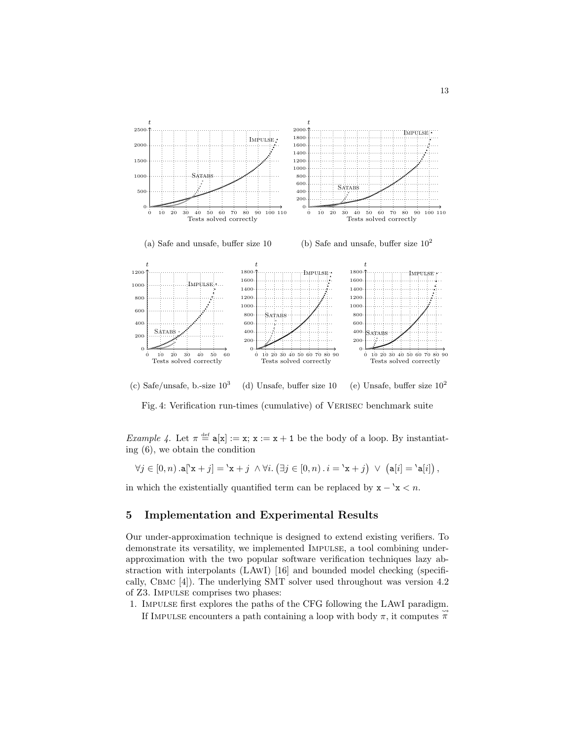

Fig. 4: Verification run-times (cumulative) of Verisec benchmark suite

*Example 4.* Let  $\pi \stackrel{\text{def}}{=} a[x] := x$ ;  $x := x + 1$  be the body of a loop. By instantiating (6), we obtain the condition

$$
\forall j \in [0, n) \mathbf{.} \mathbf{a}^\mathsf{T} \mathbf{x} + j] = \mathbf{x} + j \quad \land \forall i. \left( \exists j \in [0, n) \mathbf{.} i = \mathbf{x} + j \right) \ \lor \ \left( \mathbf{a}[i] = \mathbf{a}[i] \right),
$$

in which the existentially quantified term can be replaced by  $x - \alpha$ .

# 5 Implementation and Experimental Results

Our under-approximation technique is designed to extend existing verifiers. To demonstrate its versatility, we implemented IMPULSE, a tool combining underapproximation with the two popular software verification techniques lazy abstraction with interpolants (LAwI) [16] and bounded model checking (specifically, CBMC  $[4]$ ). The underlying SMT solver used throughout was version 4.2 of Z3. Impulse comprises two phases:

1. Impulse first explores the paths of the CFG following the LAwI paradigm. If IMPULSE encounters a path containing a loop with body  $\pi$ , it computes  $\pi$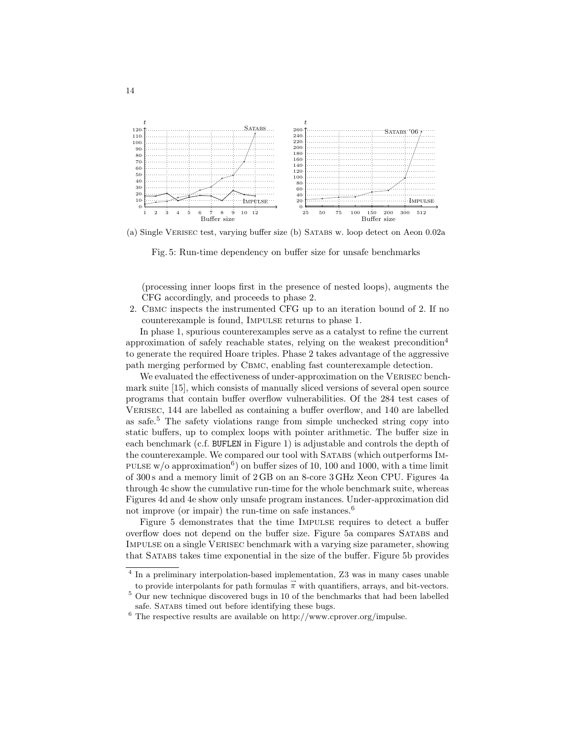

(a) Single Verisec test, varying buffer size (b) Satabs w. loop detect on Aeon 0.02a

Fig. 5: Run-time dependency on buffer size for unsafe benchmarks

(processing inner loops first in the presence of nested loops), augments the CFG accordingly, and proceeds to phase 2.

2. Cbmc inspects the instrumented CFG up to an iteration bound of 2. If no counterexample is found, Impulse returns to phase 1.

In phase 1, spurious counterexamples serve as a catalyst to refine the current approximation of safely reachable states, relying on the weakest precondition<sup>4</sup> to generate the required Hoare triples. Phase 2 takes advantage of the aggressive path merging performed by CBMC, enabling fast counterexample detection.

We evaluated the effectiveness of under-approximation on the VERISEC benchmark suite [15], which consists of manually sliced versions of several open source programs that contain buffer overflow vulnerabilities. Of the 284 test cases of Verisec, 144 are labelled as containing a buffer overflow, and 140 are labelled as safe.<sup>5</sup> The safety violations range from simple unchecked string copy into static buffers, up to complex loops with pointer arithmetic. The buffer size in each benchmark (c.f. BUFLEN in Figure 1) is adjustable and controls the depth of the counterexample. We compared our tool with Satabs (which outperforms Im-PULSE  $w/o$  approximation<sup>6</sup>) on buffer sizes of 10, 100 and 1000, with a time limit of 300 s and a memory limit of 2 GB on an 8-core 3 GHz Xeon CPU. Figures 4a through 4c show the cumulative run-time for the whole benchmark suite, whereas Figures 4d and 4e show only unsafe program instances. Under-approximation did not improve (or impair) the run-time on safe instances.<sup>6</sup>

Figure 5 demonstrates that the time Impulse requires to detect a buffer overflow does not depend on the buffer size. Figure 5a compares Satabs and Impulse on a single Verisec benchmark with a varying size parameter, showing that Satabs takes time exponential in the size of the buffer. Figure 5b provides

<sup>&</sup>lt;sup>4</sup> In a preliminary interpolation-based implementation, Z3 was in many cases unable to provide interpolants for path formulas  $\tilde{\pi}$  with quantifiers, arrays, and bit-vectors.

 $5$  Our new technique discovered bugs in 10 of the benchmarks that had been labelled safe. SATABS timed out before identifying these bugs.

<sup>6</sup> The respective results are available on http://www.cprover.org/impulse.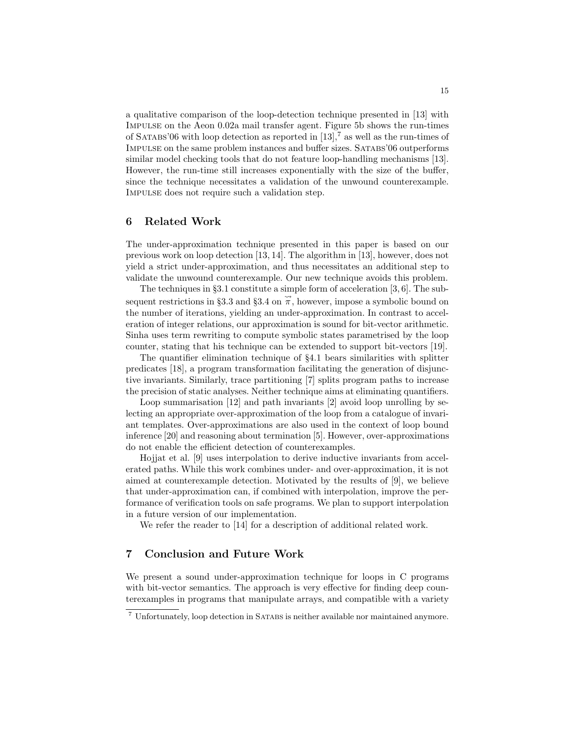a qualitative comparison of the loop-detection technique presented in [13] with Impulse on the Aeon 0.02a mail transfer agent. Figure 5b shows the run-times of SATABS'06 with loop detection as reported in  $[13]$ ,<sup>7</sup> as well as the run-times of Impulse on the same problem instances and buffer sizes. Satabs'06 outperforms similar model checking tools that do not feature loop-handling mechanisms [13]. However, the run-time still increases exponentially with the size of the buffer, since the technique necessitates a validation of the unwound counterexample. Impulse does not require such a validation step.

### 6 Related Work

The under-approximation technique presented in this paper is based on our previous work on loop detection [13, 14]. The algorithm in [13], however, does not yield a strict under-approximation, and thus necessitates an additional step to validate the unwound counterexample. Our new technique avoids this problem.

The techniques in §3.1 constitute a simple form of acceleration [3, 6]. The subsequent restrictions in §3.3 and §3.4 on  $\tilde{\pi}$ , however, impose a symbolic bound on the number of iterations, yielding an under-approximation. In contrast to acceleration of integer relations, our approximation is sound for bit-vector arithmetic. Sinha uses term rewriting to compute symbolic states parametrised by the loop counter, stating that his technique can be extended to support bit-vectors [19].

The quantifier elimination technique of §4.1 bears similarities with splitter predicates [18], a program transformation facilitating the generation of disjunctive invariants. Similarly, trace partitioning [7] splits program paths to increase the precision of static analyses. Neither technique aims at eliminating quantifiers.

Loop summarisation [12] and path invariants [2] avoid loop unrolling by selecting an appropriate over-approximation of the loop from a catalogue of invariant templates. Over-approximations are also used in the context of loop bound inference [20] and reasoning about termination [5]. However, over-approximations do not enable the efficient detection of counterexamples.

Hojjat et al. [9] uses interpolation to derive inductive invariants from accelerated paths. While this work combines under- and over-approximation, it is not aimed at counterexample detection. Motivated by the results of [9], we believe that under-approximation can, if combined with interpolation, improve the performance of verification tools on safe programs. We plan to support interpolation in a future version of our implementation.

We refer the reader to [14] for a description of additional related work.

# 7 Conclusion and Future Work

We present a sound under-approximation technique for loops in C programs with bit-vector semantics. The approach is very effective for finding deep counterexamples in programs that manipulate arrays, and compatible with a variety

<sup>&</sup>lt;sup>7</sup> Unfortunately, loop detection in SATABS is neither available nor maintained anymore.